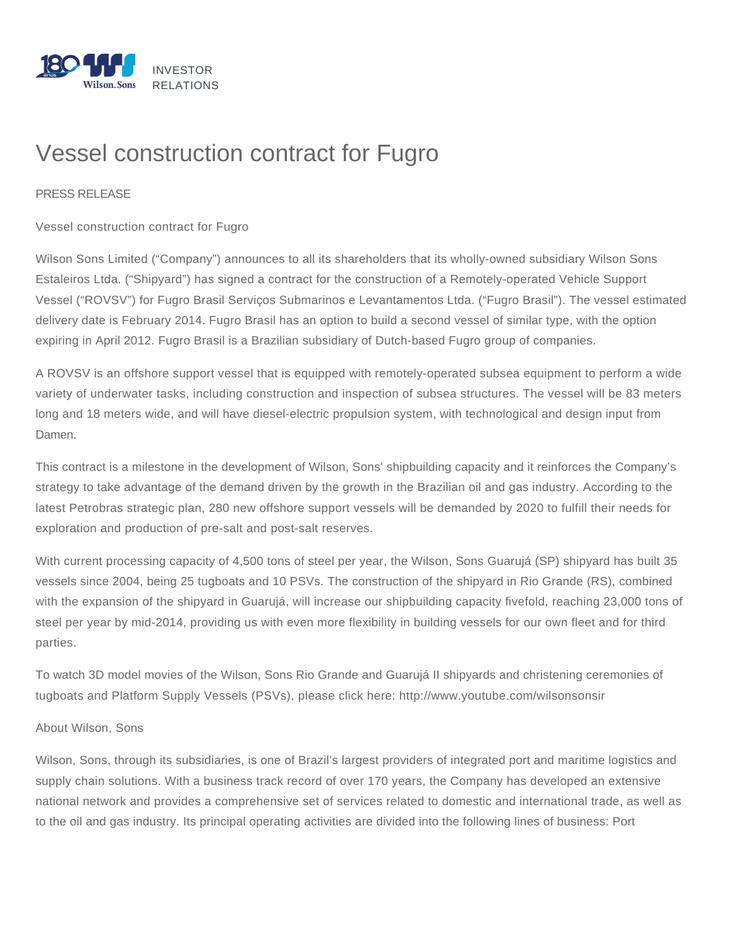

## Vessel construction contract for Fugro

## PRESS RELEASE

Vessel construction contract for Fugro

Wilson Sons Limited ("Company") announces to all its shareholders that its wholly-owned subsidiary Wilson Sons Estaleiros Ltda. ("Shipyard") has signed a contract for the construction of a Remotely-operated Vehicle Support Vessel ("ROVSV") for Fugro Brasil Serviços Submarinos e Levantamentos Ltda. ("Fugro Brasil"). The vessel estimated delivery date is February 2014. Fugro Brasil has an option to build a second vessel of similar type, with the option expiring in April 2012. Fugro Brasil is a Brazilian subsidiary of Dutch-based Fugro group of companies.

A ROVSV is an offshore support vessel that is equipped with remotely-operated subsea equipment to perform a wide variety of underwater tasks, including construction and inspection of subsea structures. The vessel will be 83 meters long and 18 meters wide, and will have diesel-electric propulsion system, with technological and design input from Damen.

This contract is a milestone in the development of Wilson, Sons' shipbuilding capacity and it reinforces the Company's strategy to take advantage of the demand driven by the growth in the Brazilian oil and gas industry. According to the latest Petrobras strategic plan, 280 new offshore support vessels will be demanded by 2020 to fulfill their needs for exploration and production of pre-salt and post-salt reserves.

With current processing capacity of 4,500 tons of steel per year, the Wilson, Sons Guarujá (SP) shipyard has built 35 vessels since 2004, being 25 tugboats and 10 PSVs. The construction of the shipyard in Rio Grande (RS), combined with the expansion of the shipyard in Guarujá, will increase our shipbuilding capacity fivefold, reaching 23,000 tons of steel per year by mid-2014, providing us with even more flexibility in building vessels for our own fleet and for third parties.

To watch 3D model movies of the Wilson, Sons Rio Grande and Guarujá II shipyards and christening ceremonies of tugboats and Platform Supply Vessels (PSVs), please click here: http://www.youtube.com/wilsonsonsir

## About Wilson, Sons

Wilson, Sons, through its subsidiaries, is one of Brazil's largest providers of integrated port and maritime logistics and supply chain solutions. With a business track record of over 170 years, the Company has developed an extensive national network and provides a comprehensive set of services related to domestic and international trade, as well as to the oil and gas industry. Its principal operating activities are divided into the following lines of business: Port